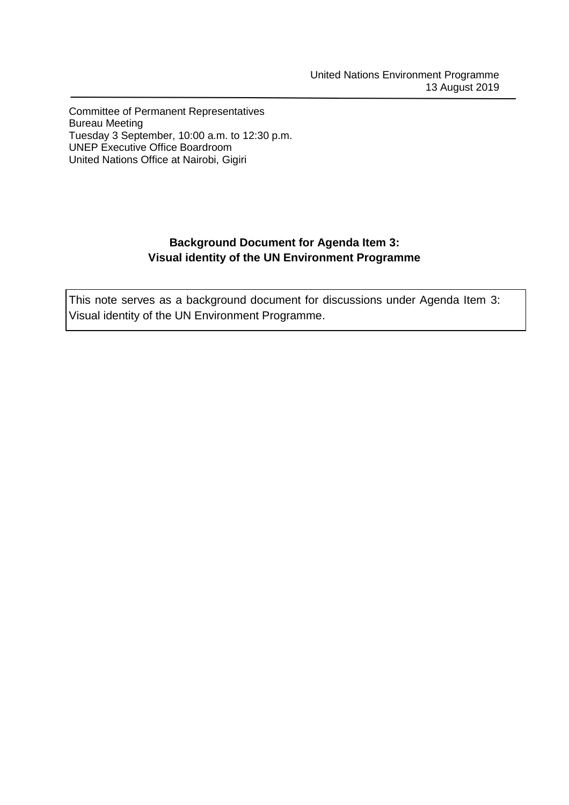Committee of Permanent Representatives Bureau Meeting Tuesday 3 September, 10:00 a.m. to 12:30 p.m. UNEP Executive Office Boardroom United Nations Office at Nairobi, Gigiri

# **Background Document for Agenda Item 3: Visual identity of the UN Environment Programme**

This note serves as a background document for discussions under Agenda Item 3: Visual identity of the UN Environment Programme.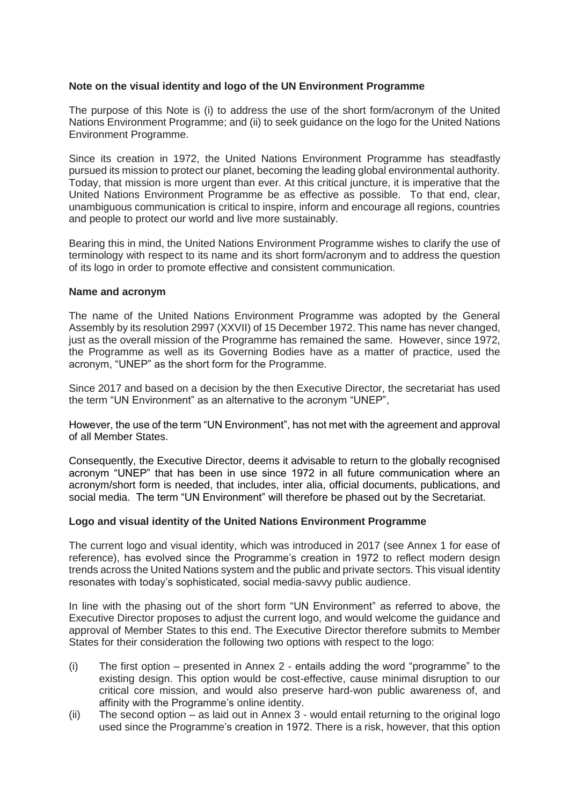## **Note on the visual identity and logo of the UN Environment Programme**

The purpose of this Note is (i) to address the use of the short form/acronym of the United Nations Environment Programme; and (ii) to seek guidance on the logo for the United Nations Environment Programme.

Since its creation in 1972, the United Nations Environment Programme has steadfastly pursued its mission to protect our planet, becoming the leading global environmental authority. Today, that mission is more urgent than ever. At this critical juncture, it is imperative that the United Nations Environment Programme be as effective as possible. To that end, clear, unambiguous communication is critical to inspire, inform and encourage all regions, countries and people to protect our world and live more sustainably.

Bearing this in mind, the United Nations Environment Programme wishes to clarify the use of terminology with respect to its name and its short form/acronym and to address the question of its logo in order to promote effective and consistent communication.

#### **Name and acronym**

The name of the United Nations Environment Programme was adopted by the General Assembly by its resolution 2997 (XXVII) of 15 December 1972. This name has never changed, just as the overall mission of the Programme has remained the same. However, since 1972, the Programme as well as its Governing Bodies have as a matter of practice, used the acronym, "UNEP" as the short form for the Programme.

Since 2017 and based on a decision by the then Executive Director, the secretariat has used the term "UN Environment" as an alternative to the acronym "UNEP",

However, the use of the term "UN Environment", has not met with the agreement and approval of all Member States.

Consequently, the Executive Director, deems it advisable to return to the globally recognised acronym "UNEP" that has been in use since 1972 in all future communication where an acronym/short form is needed, that includes, inter alia, official documents, publications, and social media. The term "UN Environment" will therefore be phased out by the Secretariat.

## **Logo and visual identity of the United Nations Environment Programme**

The current logo and visual identity, which was introduced in 2017 (see Annex 1 for ease of reference), has evolved since the Programme's creation in 1972 to reflect modern design trends across the United Nations system and the public and private sectors. This visual identity resonates with today's sophisticated, social media-savvy public audience.

In line with the phasing out of the short form "UN Environment" as referred to above, the Executive Director proposes to adjust the current logo, and would welcome the guidance and approval of Member States to this end. The Executive Director therefore submits to Member States for their consideration the following two options with respect to the logo:

- (i) The first option presented in Annex 2 entails adding the word "programme" to the existing design. This option would be cost-effective, cause minimal disruption to our critical core mission, and would also preserve hard-won public awareness of, and affinity with the Programme's online identity.
- (ii) The second option as laid out in Annex 3 would entail returning to the original logo used since the Programme's creation in 1972. There is a risk, however, that this option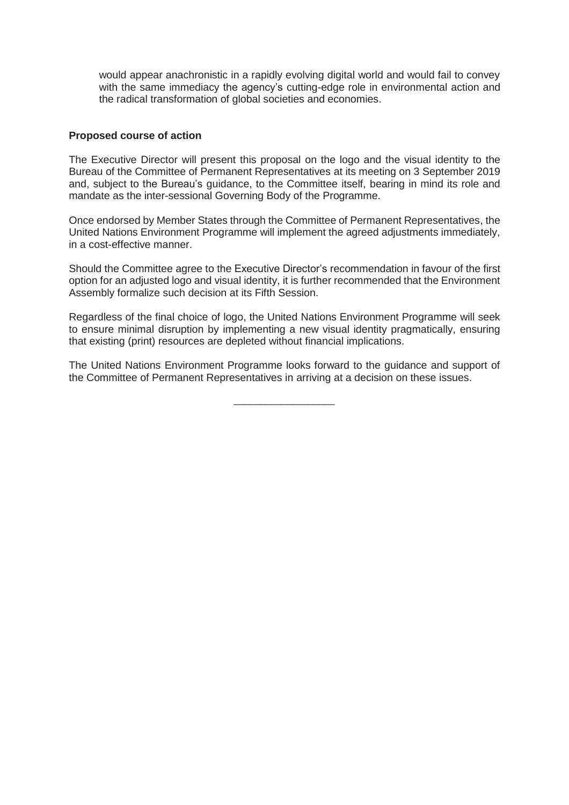would appear anachronistic in a rapidly evolving digital world and would fail to convey with the same immediacy the agency's cutting-edge role in environmental action and the radical transformation of global societies and economies.

#### **Proposed course of action**

The Executive Director will present this proposal on the logo and the visual identity to the Bureau of the Committee of Permanent Representatives at its meeting on 3 September 2019 and, subject to the Bureau's guidance, to the Committee itself, bearing in mind its role and mandate as the inter-sessional Governing Body of the Programme.

Once endorsed by Member States through the Committee of Permanent Representatives, the United Nations Environment Programme will implement the agreed adjustments immediately, in a cost-effective manner.

Should the Committee agree to the Executive Director's recommendation in favour of the first option for an adjusted logo and visual identity, it is further recommended that the Environment Assembly formalize such decision at its Fifth Session.

Regardless of the final choice of logo, the United Nations Environment Programme will seek to ensure minimal disruption by implementing a new visual identity pragmatically, ensuring that existing (print) resources are depleted without financial implications.

The United Nations Environment Programme looks forward to the guidance and support of the Committee of Permanent Representatives in arriving at a decision on these issues.

\_\_\_\_\_\_\_\_\_\_\_\_\_\_\_\_\_\_\_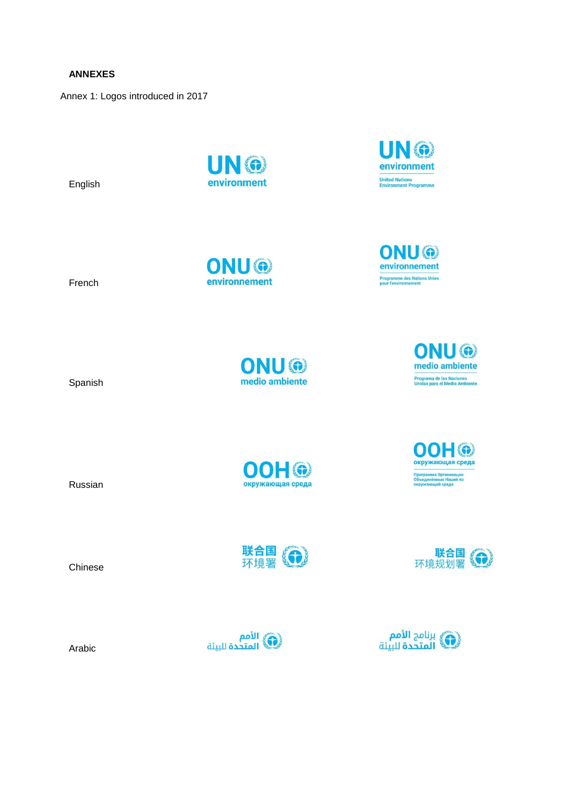**ANNEXES**

Annex 1: Logos introduced in 2017

English

UN ® environment

ONU®

environnement

Russian **New Strategie Strategie Strategie Strategie Strategie Strategie Strategie Strategie Strategie Strategie** 

French

Spanish

ONU® medio ambiente

**OOH®** 

联合国(令)

ONU® medio ambiente

UN ®

environment **United Nations<br>Environment Programme** 

ONU®

environnement **Programme des Nations Unies<br>pour l'environnement** 

> 00H® окружающая среда рограмма Организации<br>бъединённых Наций по<br>кружающей среде

联合国<br>环境规划署 50

(شَ) برنامج **الأمم**<br>المتحدة للبيئة



Arabic

Chinese





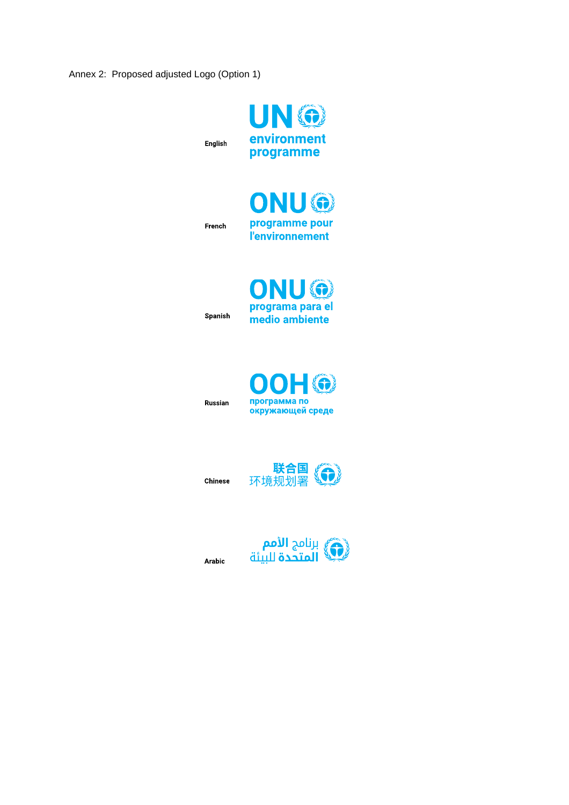Annex 2: Proposed adjusted Logo (Option 1)





French

English



Spanish



Russian



**Chinese** 



Arabic